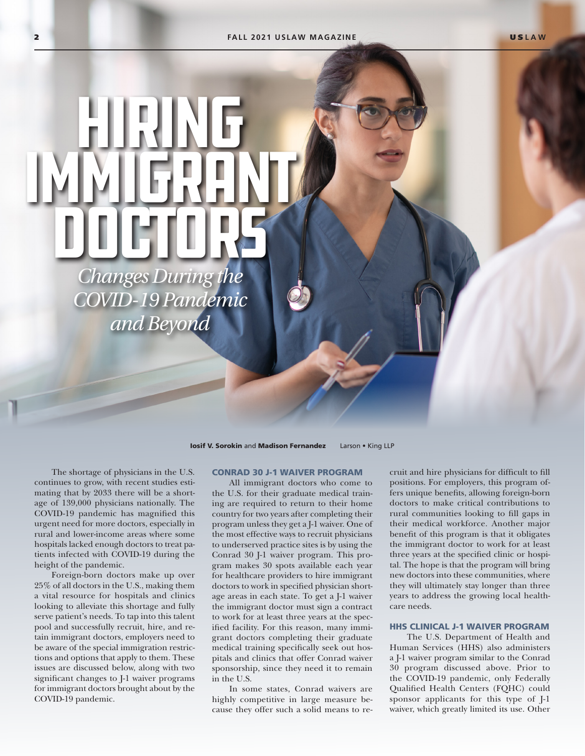DOCTORS *Changes During the COVID-19 Pandemic and Beyond*

Hiring

Immigrant

**Iosif V. Sorokin and Madison Fernandez** Larson • King LLP

The shortage of physicians in the U.S. continues to grow, with recent studies estimating that by 2033 there will be a shortage of 139,000 physicians nationally. The COVID-19 pandemic has magnified this urgent need for more doctors, especially in rural and lower-income areas where some hospitals lacked enough doctors to treat patients infected with COVID-19 during the height of the pandemic.

Foreign-born doctors make up over 25% of all doctors in the U.S., making them a vital resource for hospitals and clinics looking to alleviate this shortage and fully serve patient's needs. To tap into this talent pool and successfully recruit, hire, and retain immigrant doctors, employers need to be aware of the special immigration restrictions and options that apply to them. These issues are discussed below, along with two significant changes to J-1 waiver programs for immigrant doctors brought about by the COVID-19 pandemic.

# CONRAD 30 J-1 WAIVER PROGRAM

All immigrant doctors who come to the U.S. for their graduate medical training are required to return to their home country for two years after completing their program unless they get a J-1 waiver. One of the most effective ways to recruit physicians to underserved practice sites is by using the Conrad 30 J-1 waiver program. This program makes 30 spots available each year for healthcare providers to hire immigrant doctors to work in specified physician shortage areas in each state. To get a J-1 waiver the immigrant doctor must sign a contract to work for at least three years at the specified facility. For this reason, many immigrant doctors completing their graduate medical training specifically seek out hospitals and clinics that offer Conrad waiver sponsorship, since they need it to remain in the U.S.

In some states, Conrad waivers are highly competitive in large measure because they offer such a solid means to recruit and hire physicians for difficult to fill positions. For employers, this program offers unique benefits, allowing foreign-born doctors to make critical contributions to rural communities looking to fill gaps in their medical workforce. Another major benefit of this program is that it obligates the immigrant doctor to work for at least three years at the specified clinic or hospital. The hope is that the program will bring new doctors into these communities, where they will ultimately stay longer than three years to address the growing local healthcare needs.

## HHS CLINICAL J-1 WAIVER PROGRAM

The U.S. Department of Health and Human Services (HHS) also administers a J-1 waiver program similar to the Conrad 30 program discussed above. Prior to the COVID-19 pandemic, only Federally Qualified Health Centers (FQHC) could sponsor applicants for this type of J-1 waiver, which greatly limited its use. Other